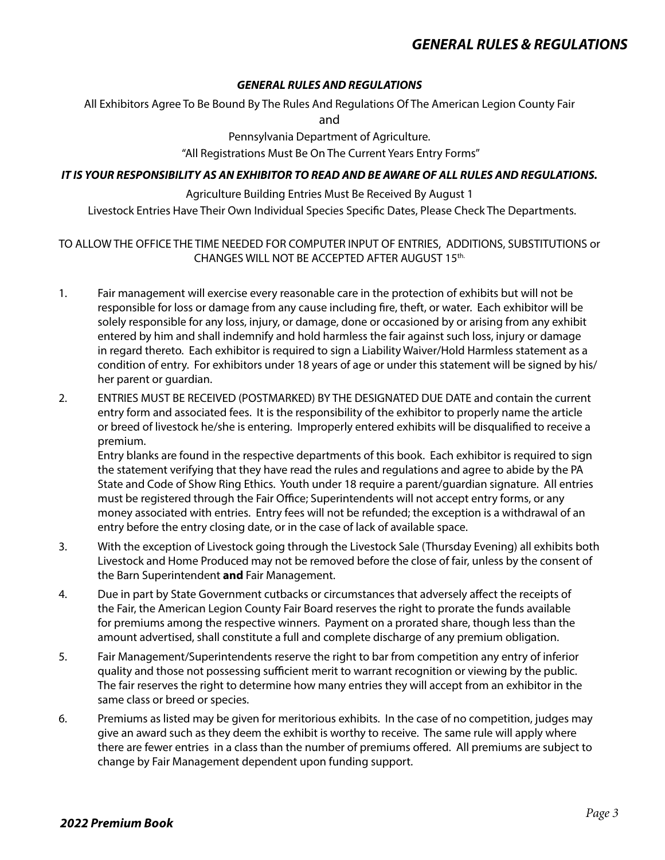All Exhibitors Agree To Be Bound By The Rules And Regulations Of The American Legion County Fair and

> Pennsylvania Department of Agriculture. "All Registrations Must Be On The Current Years Entry Forms"

#### *IT IS YOUR RESPONSIBILITY AS AN EXHIBITOR TO READ AND BE AWARE OF ALL RULES AND REGULATIONS.*

Agriculture Building Entries Must Be Received By August 1

Livestock Entries Have Their Own Individual Species Specific Dates, Please Check The Departments.

#### TO ALLOW THE OFFICE THE TIME NEEDED FOR COMPUTER INPUT OF ENTRIES, ADDITIONS, SUBSTITUTIONS or CHANGES WILL NOT BE ACCEPTED AFTER AUGUST 15th.

- 1. Fair management will exercise every reasonable care in the protection of exhibits but will not be responsible for loss or damage from any cause including fire, theft, or water. Each exhibitor will be solely responsible for any loss, injury, or damage, done or occasioned by or arising from any exhibit entered by him and shall indemnify and hold harmless the fair against such loss, injury or damage in regard thereto. Each exhibitor is required to sign a Liability Waiver/Hold Harmless statement as a condition of entry. For exhibitors under 18 years of age or under this statement will be signed by his/ her parent or guardian.
- 2. ENTRIES MUST BE RECEIVED (POSTMARKED) BY THE DESIGNATED DUE DATE and contain the current entry form and associated fees. It is the responsibility of the exhibitor to properly name the article or breed of livestock he/she is entering. Improperly entered exhibits will be disqualified to receive a premium.

Entry blanks are found in the respective departments of this book. Each exhibitor is required to sign the statement verifying that they have read the rules and regulations and agree to abide by the PA State and Code of Show Ring Ethics. Youth under 18 require a parent/guardian signature. All entries must be registered through the Fair Office; Superintendents will not accept entry forms, or any money associated with entries. Entry fees will not be refunded; the exception is a withdrawal of an entry before the entry closing date, or in the case of lack of available space.

- 3. With the exception of Livestock going through the Livestock Sale (Thursday Evening) all exhibits both Livestock and Home Produced may not be removed before the close of fair, unless by the consent of the Barn Superintendent **and** Fair Management.
- 4. Due in part by State Government cutbacks or circumstances that adversely affect the receipts of the Fair, the American Legion County Fair Board reserves the right to prorate the funds available for premiums among the respective winners. Payment on a prorated share, though less than the amount advertised, shall constitute a full and complete discharge of any premium obligation.
- 5. Fair Management/Superintendents reserve the right to bar from competition any entry of inferior quality and those not possessing sufficient merit to warrant recognition or viewing by the public. The fair reserves the right to determine how many entries they will accept from an exhibitor in the same class or breed or species.
- 6. Premiums as listed may be given for meritorious exhibits. In the case of no competition, judges may give an award such as they deem the exhibit is worthy to receive. The same rule will apply where there are fewer entries in a class than the number of premiums offered. All premiums are subject to change by Fair Management dependent upon funding support.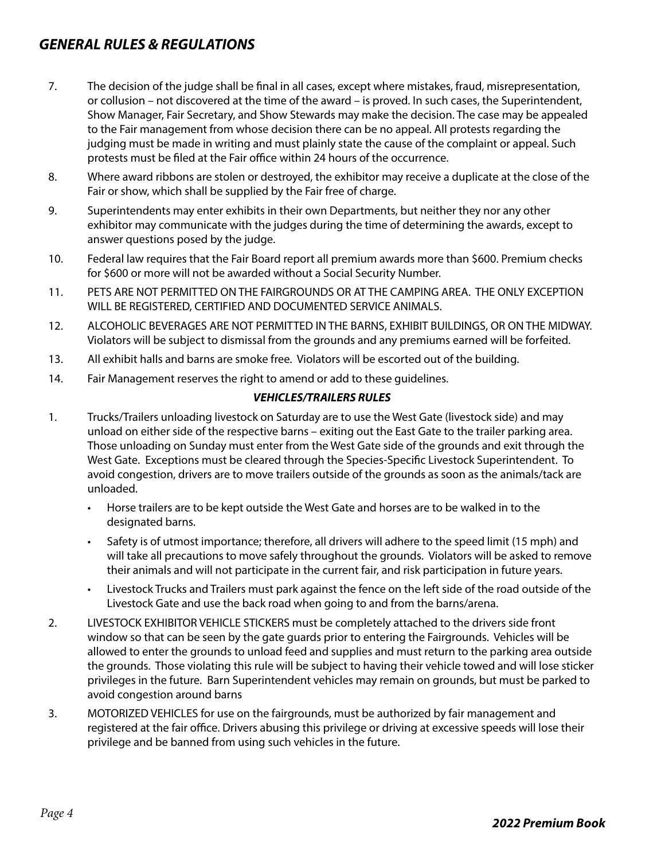- 7. The decision of the judge shall be final in all cases, except where mistakes, fraud, misrepresentation, or collusion – not discovered at the time of the award – is proved. In such cases, the Superintendent, Show Manager, Fair Secretary, and Show Stewards may make the decision. The case may be appealed to the Fair management from whose decision there can be no appeal. All protests regarding the judging must be made in writing and must plainly state the cause of the complaint or appeal. Such protests must be filed at the Fair office within 24 hours of the occurrence.
- 8. Where award ribbons are stolen or destroyed, the exhibitor may receive a duplicate at the close of the Fair or show, which shall be supplied by the Fair free of charge.
- 9. Superintendents may enter exhibits in their own Departments, but neither they nor any other exhibitor may communicate with the judges during the time of determining the awards, except to answer questions posed by the judge.
- 10. Federal law requires that the Fair Board report all premium awards more than \$600. Premium checks for \$600 or more will not be awarded without a Social Security Number.
- 11. PETS ARE NOT PERMITTED ON THE FAIRGROUNDS OR AT THE CAMPING AREA. THE ONLY EXCEPTION WILL BE REGISTERED, CERTIFIED AND DOCUMENTED SERVICE ANIMALS.
- 12. ALCOHOLIC BEVERAGES ARE NOT PERMITTED IN THE BARNS, EXHIBIT BUILDINGS, OR ON THE MIDWAY. Violators will be subject to dismissal from the grounds and any premiums earned will be forfeited.
- 13. All exhibit halls and barns are smoke free. Violators will be escorted out of the building.
- 14. Fair Management reserves the right to amend or add to these guidelines.

#### *VEHICLES/TRAILERS RULES*

- 1. Trucks/Trailers unloading livestock on Saturday are to use the West Gate (livestock side) and may unload on either side of the respective barns – exiting out the East Gate to the trailer parking area. Those unloading on Sunday must enter from the West Gate side of the grounds and exit through the West Gate. Exceptions must be cleared through the Species-Specific Livestock Superintendent. To avoid congestion, drivers are to move trailers outside of the grounds as soon as the animals/tack are unloaded.
	- Horse trailers are to be kept outside the West Gate and horses are to be walked in to the designated barns.
	- Safety is of utmost importance; therefore, all drivers will adhere to the speed limit (15 mph) and will take all precautions to move safely throughout the grounds. Violators will be asked to remove their animals and will not participate in the current fair, and risk participation in future years.
	- Livestock Trucks and Trailers must park against the fence on the left side of the road outside of the Livestock Gate and use the back road when going to and from the barns/arena.
- 2. LIVESTOCK EXHIBITOR VEHICLE STICKERS must be completely attached to the drivers side front window so that can be seen by the gate guards prior to entering the Fairgrounds. Vehicles will be allowed to enter the grounds to unload feed and supplies and must return to the parking area outside the grounds. Those violating this rule will be subject to having their vehicle towed and will lose sticker privileges in the future. Barn Superintendent vehicles may remain on grounds, but must be parked to avoid congestion around barns
- 3. MOTORIZED VEHICLES for use on the fairgrounds, must be authorized by fair management and registered at the fair office. Drivers abusing this privilege or driving at excessive speeds will lose their privilege and be banned from using such vehicles in the future.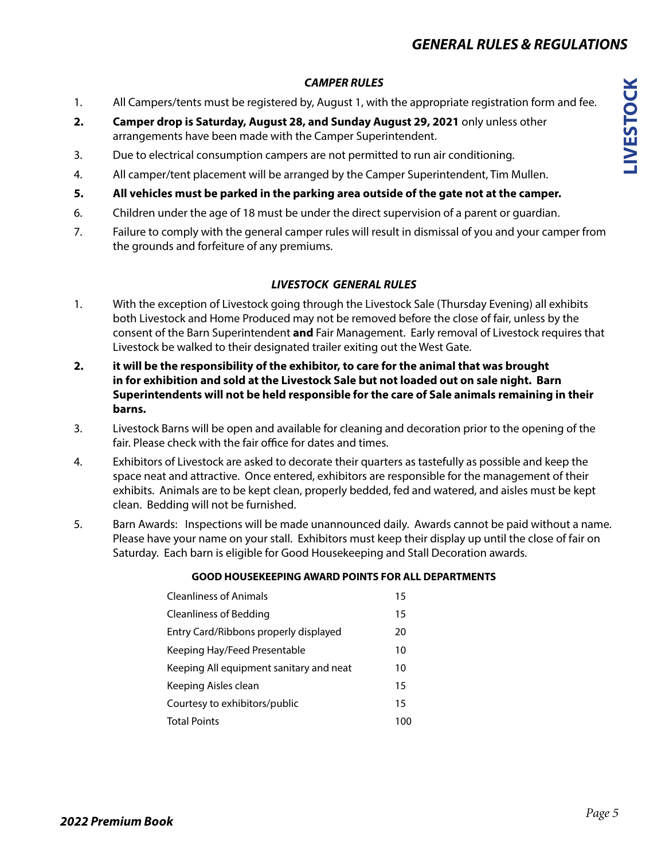#### *CAMPER RULES*

- 1. All Campers/tents must be registered by, August 1, with the appropriate registration form and fee.
- **2. Camper drop is Saturday, August 28, and Sunday August 29, 2021** only unless other arrangements have been made with the Camper Superintendent.
- 3. Due to electrical consumption campers are not permitted to run air conditioning.
- 4. All camper/tent placement will be arranged by the Camper Superintendent, Tim Mullen.
- **5. All vehicles must be parked in the parking area outside of the gate not at the camper.**
- 6. Children under the age of 18 must be under the direct supervision of a parent or guardian.
- 7. Failure to comply with the general camper rules will result in dismissal of you and your camper from the grounds and forfeiture of any premiums.

#### *LIVESTOCK GENERAL RULES*

- 1. With the exception of Livestock going through the Livestock Sale (Thursday Evening) all exhibits both Livestock and Home Produced may not be removed before the close of fair, unless by the consent of the Barn Superintendent **and** Fair Management. Early removal of Livestock requires that Livestock be walked to their designated trailer exiting out the West Gate.
- **2. it will be the responsibility of the exhibitor, to care for the animal that was brought in for exhibition and sold at the Livestock Sale but not loaded out on sale night. Barn Superintendents will not be held responsible for the care of Sale animals remaining in their barns.**
- 3. Livestock Barns will be open and available for cleaning and decoration prior to the opening of the fair. Please check with the fair office for dates and times.
- 4. Exhibitors of Livestock are asked to decorate their quarters as tastefully as possible and keep the space neat and attractive. Once entered, exhibitors are responsible for the management of their exhibits. Animals are to be kept clean, properly bedded, fed and watered, and aisles must be kept clean. Bedding will not be furnished.
- 5. Barn Awards: Inspections will be made unannounced daily. Awards cannot be paid without a name. Please have your name on your stall. Exhibitors must keep their display up until the close of fair on Saturday. Each barn is eligible for Good Housekeeping and Stall Decoration awards.

#### **GOOD HOUSEKEEPING AWARD POINTS FOR ALL DEPARTMENTS**

Cleanliness of Animals 15 Cleanliness of Bedding 15 Entry Card/Ribbons properly displayed 20 Keeping Hay/Feed Presentable 10 Keeping All equipment sanitary and neat 10 Keeping Aisles clean 15 Courtesy to exhibitors/public 15 Total Points 100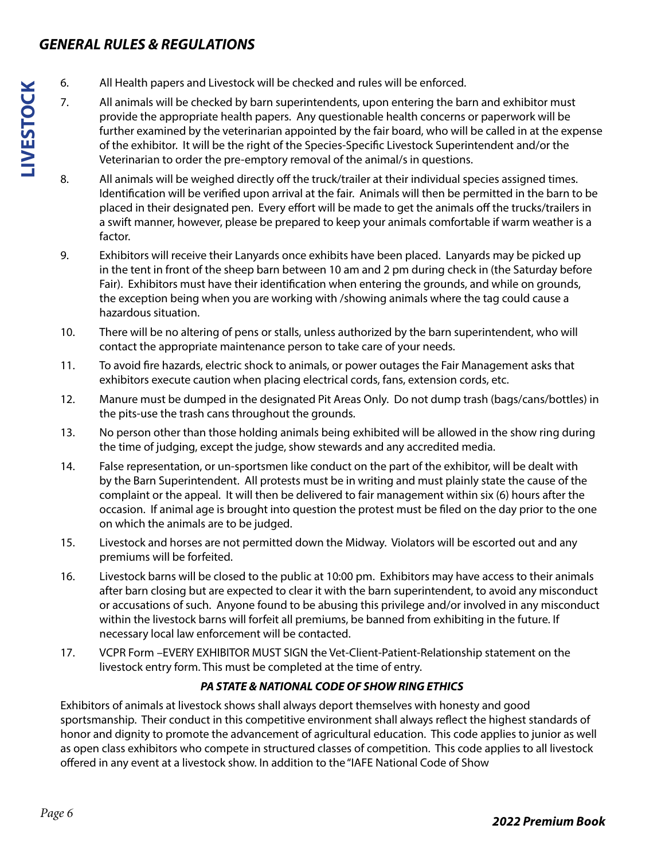- 6. All Health papers and Livestock will be checked and rules will be enforced.
	- 7. All animals will be checked by barn superintendents, upon entering the barn and exhibitor must provide the appropriate health papers. Any questionable health concerns or paperwork will be further examined by the veterinarian appointed by the fair board, who will be called in at the expense of the exhibitor. It will be the right of the Species-Specific Livestock Superintendent and/or the Veterinarian to order the pre-emptory removal of the animal/s in questions.
	- 8. All animals will be weighed directly off the truck/trailer at their individual species assigned times. Identification will be verified upon arrival at the fair. Animals will then be permitted in the barn to be placed in their designated pen. Every effort will be made to get the animals off the trucks/trailers in a swift manner, however, please be prepared to keep your animals comfortable if warm weather is a factor.
	- 9. Exhibitors will receive their Lanyards once exhibits have been placed. Lanyards may be picked up in the tent in front of the sheep barn between 10 am and 2 pm during check in (the Saturday before Fair). Exhibitors must have their identification when entering the grounds, and while on grounds, the exception being when you are working with /showing animals where the tag could cause a hazardous situation.
	- 10. There will be no altering of pens or stalls, unless authorized by the barn superintendent, who will contact the appropriate maintenance person to take care of your needs.
	- 11. To avoid fire hazards, electric shock to animals, or power outages the Fair Management asks that exhibitors execute caution when placing electrical cords, fans, extension cords, etc.
	- 12. Manure must be dumped in the designated Pit Areas Only. Do not dump trash (bags/cans/bottles) in the pits-use the trash cans throughout the grounds.
	- 13. No person other than those holding animals being exhibited will be allowed in the show ring during the time of judging, except the judge, show stewards and any accredited media.
	- 14. False representation, or un-sportsmen like conduct on the part of the exhibitor, will be dealt with by the Barn Superintendent. All protests must be in writing and must plainly state the cause of the complaint or the appeal. It will then be delivered to fair management within six (6) hours after the occasion. If animal age is brought into question the protest must be filed on the day prior to the one on which the animals are to be judged.
	- 15. Livestock and horses are not permitted down the Midway. Violators will be escorted out and any premiums will be forfeited.
	- 16. Livestock barns will be closed to the public at 10:00 pm. Exhibitors may have access to their animals after barn closing but are expected to clear it with the barn superintendent, to avoid any misconduct or accusations of such. Anyone found to be abusing this privilege and/or involved in any misconduct within the livestock barns will forfeit all premiums, be banned from exhibiting in the future. If necessary local law enforcement will be contacted.
	- 17. VCPR Form –EVERY EXHIBITOR MUST SIGN the Vet-Client-Patient-Relationship statement on the livestock entry form. This must be completed at the time of entry.

### *PA STATE & NATIONAL CODE OF SHOW RING ETHICS*

Exhibitors of animals at livestock shows shall always deport themselves with honesty and good sportsmanship. Their conduct in this competitive environment shall always reflect the highest standards of honor and dignity to promote the advancement of agricultural education. This code applies to junior as well as open class exhibitors who compete in structured classes of competition. This code applies to all livestock offered in any event at a livestock show. In addition to the "IAFE National Code of Show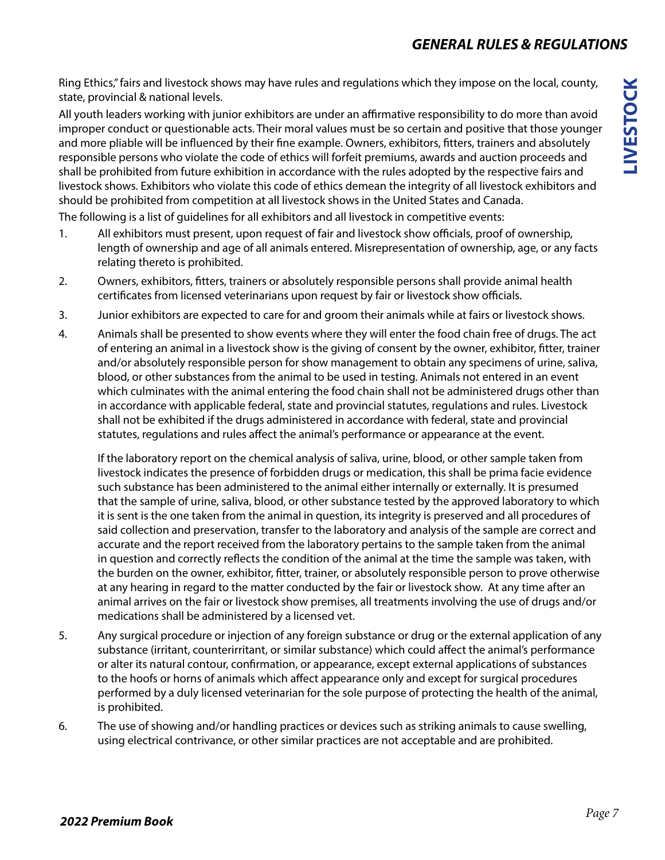Ring Ethics," fairs and livestock shows may have rules and regulations which they impose on the local, county, state, provincial & national levels.

All youth leaders working with junior exhibitors are under an affirmative responsibility to do more than avoid improper conduct or questionable acts. Their moral values must be so certain and positive that those younger and more pliable will be influenced by their fine example. Owners, exhibitors, fitters, trainers and absolutely responsible persons who violate the code of ethics will forfeit premiums, awards and auction proceeds and shall be prohibited from future exhibition in accordance with the rules adopted by the respective fairs and livestock shows. Exhibitors who violate this code of ethics demean the integrity of all livestock exhibitors and should be prohibited from competition at all livestock shows in the United States and Canada.

The following is a list of guidelines for all exhibitors and all livestock in competitive events:

- 1. All exhibitors must present, upon request of fair and livestock show officials, proof of ownership, length of ownership and age of all animals entered. Misrepresentation of ownership, age, or any facts relating thereto is prohibited.
- 2. Owners, exhibitors, fitters, trainers or absolutely responsible persons shall provide animal health certificates from licensed veterinarians upon request by fair or livestock show officials.
- 3. Junior exhibitors are expected to care for and groom their animals while at fairs or livestock shows.
- 4. Animals shall be presented to show events where they will enter the food chain free of drugs. The act of entering an animal in a livestock show is the giving of consent by the owner, exhibitor, fitter, trainer and/or absolutely responsible person for show management to obtain any specimens of urine, saliva, blood, or other substances from the animal to be used in testing. Animals not entered in an event which culminates with the animal entering the food chain shall not be administered drugs other than in accordance with applicable federal, state and provincial statutes, regulations and rules. Livestock shall not be exhibited if the drugs administered in accordance with federal, state and provincial statutes, regulations and rules affect the animal's performance or appearance at the event.

If the laboratory report on the chemical analysis of saliva, urine, blood, or other sample taken from livestock indicates the presence of forbidden drugs or medication, this shall be prima facie evidence such substance has been administered to the animal either internally or externally. It is presumed that the sample of urine, saliva, blood, or other substance tested by the approved laboratory to which it is sent is the one taken from the animal in question, its integrity is preserved and all procedures of said collection and preservation, transfer to the laboratory and analysis of the sample are correct and accurate and the report received from the laboratory pertains to the sample taken from the animal in question and correctly reflects the condition of the animal at the time the sample was taken, with the burden on the owner, exhibitor, fitter, trainer, or absolutely responsible person to prove otherwise at any hearing in regard to the matter conducted by the fair or livestock show. At any time after an animal arrives on the fair or livestock show premises, all treatments involving the use of drugs and/or medications shall be administered by a licensed vet.

- 5. Any surgical procedure or injection of any foreign substance or drug or the external application of any substance (irritant, counterirritant, or similar substance) which could affect the animal's performance or alter its natural contour, confirmation, or appearance, except external applications of substances to the hoofs or horns of animals which affect appearance only and except for surgical procedures performed by a duly licensed veterinarian for the sole purpose of protecting the health of the animal, is prohibited.
- 6. The use of showing and/or handling practices or devices such as striking animals to cause swelling, using electrical contrivance, or other similar practices are not acceptable and are prohibited.